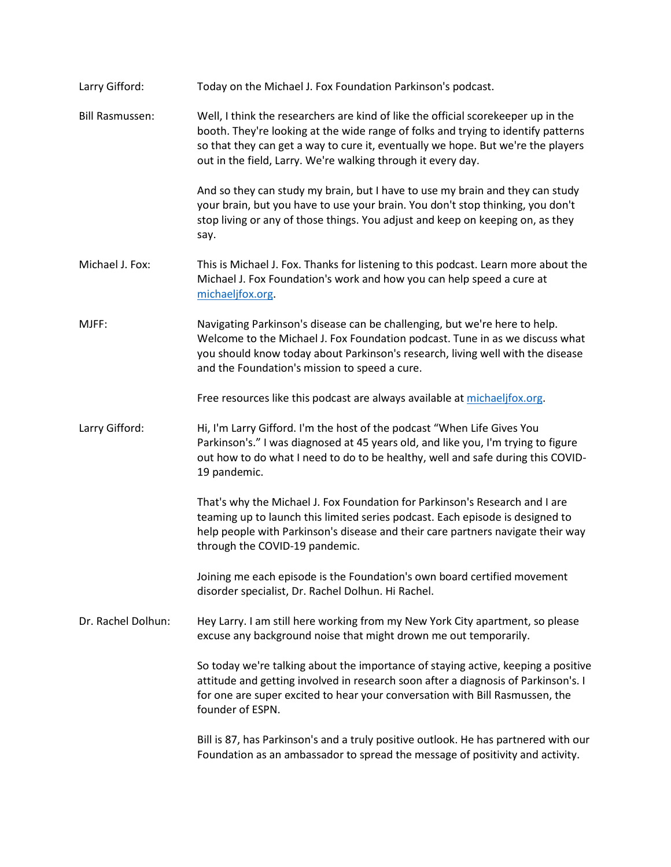| Larry Gifford:         | Today on the Michael J. Fox Foundation Parkinson's podcast.                                                                                                                                                                                                                                                                |
|------------------------|----------------------------------------------------------------------------------------------------------------------------------------------------------------------------------------------------------------------------------------------------------------------------------------------------------------------------|
| <b>Bill Rasmussen:</b> | Well, I think the researchers are kind of like the official scorekeeper up in the<br>booth. They're looking at the wide range of folks and trying to identify patterns<br>so that they can get a way to cure it, eventually we hope. But we're the players<br>out in the field, Larry. We're walking through it every day. |
|                        | And so they can study my brain, but I have to use my brain and they can study<br>your brain, but you have to use your brain. You don't stop thinking, you don't<br>stop living or any of those things. You adjust and keep on keeping on, as they<br>say.                                                                  |
| Michael J. Fox:        | This is Michael J. Fox. Thanks for listening to this podcast. Learn more about the<br>Michael J. Fox Foundation's work and how you can help speed a cure at<br>michaeljfox.org.                                                                                                                                            |
| MJFF:                  | Navigating Parkinson's disease can be challenging, but we're here to help.<br>Welcome to the Michael J. Fox Foundation podcast. Tune in as we discuss what<br>you should know today about Parkinson's research, living well with the disease<br>and the Foundation's mission to speed a cure.                              |
|                        | Free resources like this podcast are always available at michaeljfox.org.                                                                                                                                                                                                                                                  |
| Larry Gifford:         | Hi, I'm Larry Gifford. I'm the host of the podcast "When Life Gives You<br>Parkinson's." I was diagnosed at 45 years old, and like you, I'm trying to figure<br>out how to do what I need to do to be healthy, well and safe during this COVID-<br>19 pandemic.                                                            |
|                        | That's why the Michael J. Fox Foundation for Parkinson's Research and I are<br>teaming up to launch this limited series podcast. Each episode is designed to<br>help people with Parkinson's disease and their care partners navigate their way<br>through the COVID-19 pandemic.                                          |
|                        | Joining me each episode is the Foundation's own board certified movement<br>disorder specialist, Dr. Rachel Dolhun. Hi Rachel.                                                                                                                                                                                             |
| Dr. Rachel Dolhun:     | Hey Larry. I am still here working from my New York City apartment, so please<br>excuse any background noise that might drown me out temporarily.                                                                                                                                                                          |
|                        | So today we're talking about the importance of staying active, keeping a positive<br>attitude and getting involved in research soon after a diagnosis of Parkinson's. I<br>for one are super excited to hear your conversation with Bill Rasmussen, the<br>founder of ESPN.                                                |
|                        | Bill is 87, has Parkinson's and a truly positive outlook. He has partnered with our<br>Foundation as an ambassador to spread the message of positivity and activity.                                                                                                                                                       |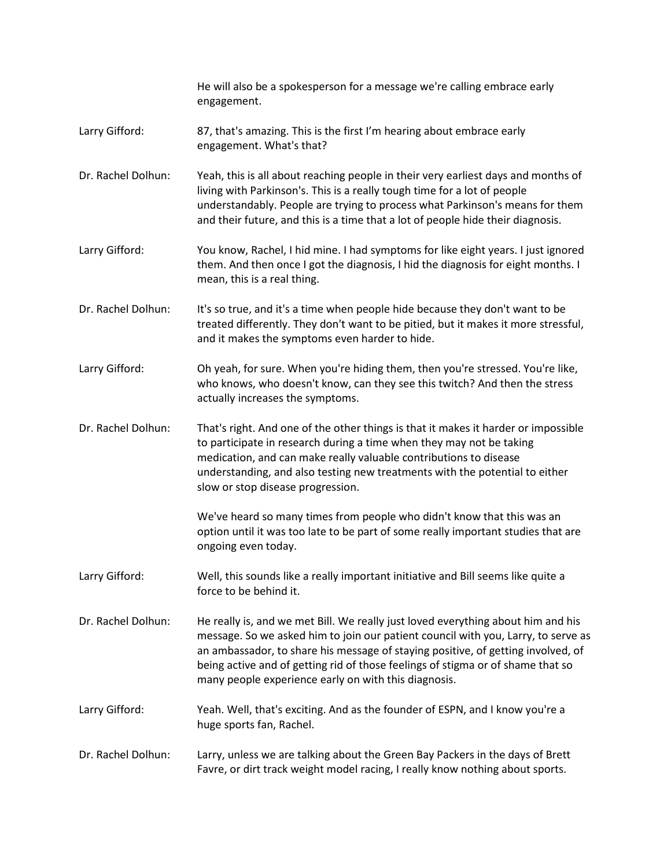|                    | He will also be a spokesperson for a message we're calling embrace early<br>engagement.                                                                                                                                                                                                                                                                                                              |
|--------------------|------------------------------------------------------------------------------------------------------------------------------------------------------------------------------------------------------------------------------------------------------------------------------------------------------------------------------------------------------------------------------------------------------|
| Larry Gifford:     | 87, that's amazing. This is the first I'm hearing about embrace early<br>engagement. What's that?                                                                                                                                                                                                                                                                                                    |
| Dr. Rachel Dolhun: | Yeah, this is all about reaching people in their very earliest days and months of<br>living with Parkinson's. This is a really tough time for a lot of people<br>understandably. People are trying to process what Parkinson's means for them<br>and their future, and this is a time that a lot of people hide their diagnosis.                                                                     |
| Larry Gifford:     | You know, Rachel, I hid mine. I had symptoms for like eight years. I just ignored<br>them. And then once I got the diagnosis, I hid the diagnosis for eight months. I<br>mean, this is a real thing.                                                                                                                                                                                                 |
| Dr. Rachel Dolhun: | It's so true, and it's a time when people hide because they don't want to be<br>treated differently. They don't want to be pitied, but it makes it more stressful,<br>and it makes the symptoms even harder to hide.                                                                                                                                                                                 |
| Larry Gifford:     | Oh yeah, for sure. When you're hiding them, then you're stressed. You're like,<br>who knows, who doesn't know, can they see this twitch? And then the stress<br>actually increases the symptoms.                                                                                                                                                                                                     |
| Dr. Rachel Dolhun: | That's right. And one of the other things is that it makes it harder or impossible<br>to participate in research during a time when they may not be taking<br>medication, and can make really valuable contributions to disease<br>understanding, and also testing new treatments with the potential to either<br>slow or stop disease progression.                                                  |
|                    | We've heard so many times from people who didn't know that this was an<br>option until it was too late to be part of some really important studies that are<br>ongoing even today.                                                                                                                                                                                                                   |
| Larry Gifford:     | Well, this sounds like a really important initiative and Bill seems like quite a<br>force to be behind it.                                                                                                                                                                                                                                                                                           |
| Dr. Rachel Dolhun: | He really is, and we met Bill. We really just loved everything about him and his<br>message. So we asked him to join our patient council with you, Larry, to serve as<br>an ambassador, to share his message of staying positive, of getting involved, of<br>being active and of getting rid of those feelings of stigma or of shame that so<br>many people experience early on with this diagnosis. |
| Larry Gifford:     | Yeah. Well, that's exciting. And as the founder of ESPN, and I know you're a<br>huge sports fan, Rachel.                                                                                                                                                                                                                                                                                             |
| Dr. Rachel Dolhun: | Larry, unless we are talking about the Green Bay Packers in the days of Brett<br>Favre, or dirt track weight model racing, I really know nothing about sports.                                                                                                                                                                                                                                       |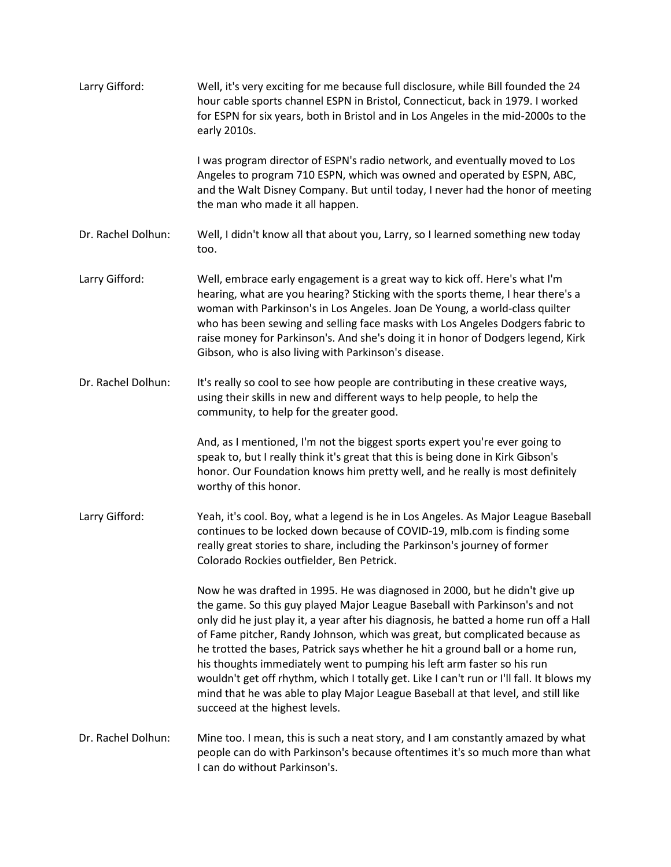| Larry Gifford:     | Well, it's very exciting for me because full disclosure, while Bill founded the 24<br>hour cable sports channel ESPN in Bristol, Connecticut, back in 1979. I worked<br>for ESPN for six years, both in Bristol and in Los Angeles in the mid-2000s to the<br>early 2010s.                                                                                                                                                                                                                                                                                                                                                                                                                                         |
|--------------------|--------------------------------------------------------------------------------------------------------------------------------------------------------------------------------------------------------------------------------------------------------------------------------------------------------------------------------------------------------------------------------------------------------------------------------------------------------------------------------------------------------------------------------------------------------------------------------------------------------------------------------------------------------------------------------------------------------------------|
|                    | I was program director of ESPN's radio network, and eventually moved to Los<br>Angeles to program 710 ESPN, which was owned and operated by ESPN, ABC,<br>and the Walt Disney Company. But until today, I never had the honor of meeting<br>the man who made it all happen.                                                                                                                                                                                                                                                                                                                                                                                                                                        |
| Dr. Rachel Dolhun: | Well, I didn't know all that about you, Larry, so I learned something new today<br>too.                                                                                                                                                                                                                                                                                                                                                                                                                                                                                                                                                                                                                            |
| Larry Gifford:     | Well, embrace early engagement is a great way to kick off. Here's what I'm<br>hearing, what are you hearing? Sticking with the sports theme, I hear there's a<br>woman with Parkinson's in Los Angeles. Joan De Young, a world-class quilter<br>who has been sewing and selling face masks with Los Angeles Dodgers fabric to<br>raise money for Parkinson's. And she's doing it in honor of Dodgers legend, Kirk<br>Gibson, who is also living with Parkinson's disease.                                                                                                                                                                                                                                          |
| Dr. Rachel Dolhun: | It's really so cool to see how people are contributing in these creative ways,<br>using their skills in new and different ways to help people, to help the<br>community, to help for the greater good.                                                                                                                                                                                                                                                                                                                                                                                                                                                                                                             |
|                    | And, as I mentioned, I'm not the biggest sports expert you're ever going to<br>speak to, but I really think it's great that this is being done in Kirk Gibson's<br>honor. Our Foundation knows him pretty well, and he really is most definitely<br>worthy of this honor.                                                                                                                                                                                                                                                                                                                                                                                                                                          |
| Larry Gifford:     | Yeah, it's cool. Boy, what a legend is he in Los Angeles. As Major League Baseball<br>continues to be locked down because of COVID-19, mlb.com is finding some<br>really great stories to share, including the Parkinson's journey of former<br>Colorado Rockies outfielder, Ben Petrick.                                                                                                                                                                                                                                                                                                                                                                                                                          |
|                    | Now he was drafted in 1995. He was diagnosed in 2000, but he didn't give up<br>the game. So this guy played Major League Baseball with Parkinson's and not<br>only did he just play it, a year after his diagnosis, he batted a home run off a Hall<br>of Fame pitcher, Randy Johnson, which was great, but complicated because as<br>he trotted the bases, Patrick says whether he hit a ground ball or a home run,<br>his thoughts immediately went to pumping his left arm faster so his run<br>wouldn't get off rhythm, which I totally get. Like I can't run or I'll fall. It blows my<br>mind that he was able to play Major League Baseball at that level, and still like<br>succeed at the highest levels. |
| Dr. Rachel Dolhun: | Mine too. I mean, this is such a neat story, and I am constantly amazed by what<br>people can do with Parkinson's because oftentimes it's so much more than what<br>I can do without Parkinson's.                                                                                                                                                                                                                                                                                                                                                                                                                                                                                                                  |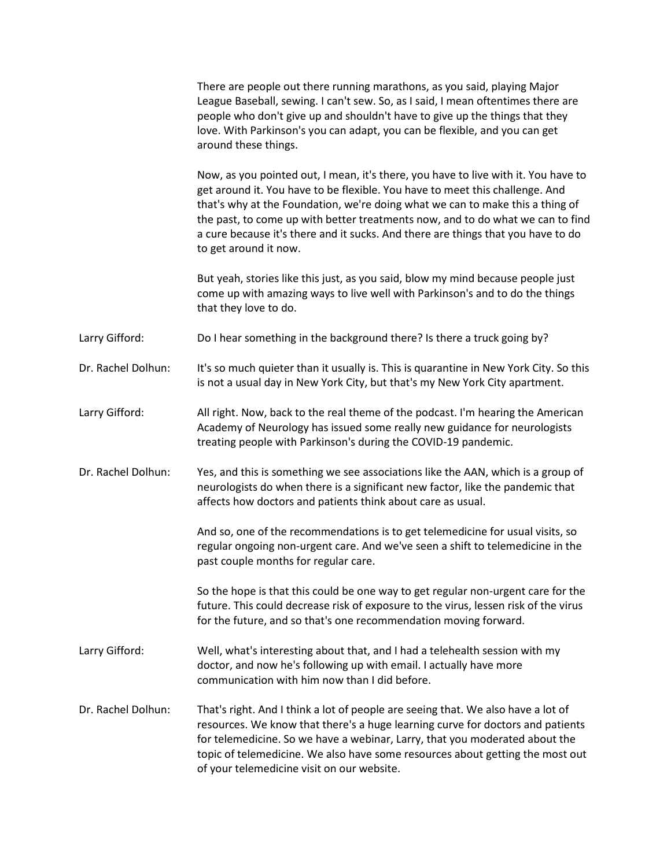|                    | There are people out there running marathons, as you said, playing Major<br>League Baseball, sewing. I can't sew. So, as I said, I mean oftentimes there are<br>people who don't give up and shouldn't have to give up the things that they<br>love. With Parkinson's you can adapt, you can be flexible, and you can get<br>around these things.                                                                                                  |
|--------------------|----------------------------------------------------------------------------------------------------------------------------------------------------------------------------------------------------------------------------------------------------------------------------------------------------------------------------------------------------------------------------------------------------------------------------------------------------|
|                    | Now, as you pointed out, I mean, it's there, you have to live with it. You have to<br>get around it. You have to be flexible. You have to meet this challenge. And<br>that's why at the Foundation, we're doing what we can to make this a thing of<br>the past, to come up with better treatments now, and to do what we can to find<br>a cure because it's there and it sucks. And there are things that you have to do<br>to get around it now. |
|                    | But yeah, stories like this just, as you said, blow my mind because people just<br>come up with amazing ways to live well with Parkinson's and to do the things<br>that they love to do.                                                                                                                                                                                                                                                           |
| Larry Gifford:     | Do I hear something in the background there? Is there a truck going by?                                                                                                                                                                                                                                                                                                                                                                            |
| Dr. Rachel Dolhun: | It's so much quieter than it usually is. This is quarantine in New York City. So this<br>is not a usual day in New York City, but that's my New York City apartment.                                                                                                                                                                                                                                                                               |
| Larry Gifford:     | All right. Now, back to the real theme of the podcast. I'm hearing the American<br>Academy of Neurology has issued some really new guidance for neurologists<br>treating people with Parkinson's during the COVID-19 pandemic.                                                                                                                                                                                                                     |
| Dr. Rachel Dolhun: | Yes, and this is something we see associations like the AAN, which is a group of<br>neurologists do when there is a significant new factor, like the pandemic that<br>affects how doctors and patients think about care as usual.                                                                                                                                                                                                                  |
|                    | And so, one of the recommendations is to get telemedicine for usual visits, so<br>regular ongoing non-urgent care. And we've seen a shift to telemedicine in the<br>past couple months for regular care.                                                                                                                                                                                                                                           |
|                    | So the hope is that this could be one way to get regular non-urgent care for the<br>future. This could decrease risk of exposure to the virus, lessen risk of the virus<br>for the future, and so that's one recommendation moving forward.                                                                                                                                                                                                        |
| Larry Gifford:     | Well, what's interesting about that, and I had a telehealth session with my<br>doctor, and now he's following up with email. I actually have more<br>communication with him now than I did before.                                                                                                                                                                                                                                                 |
| Dr. Rachel Dolhun: | That's right. And I think a lot of people are seeing that. We also have a lot of<br>resources. We know that there's a huge learning curve for doctors and patients<br>for telemedicine. So we have a webinar, Larry, that you moderated about the<br>topic of telemedicine. We also have some resources about getting the most out<br>of your telemedicine visit on our website.                                                                   |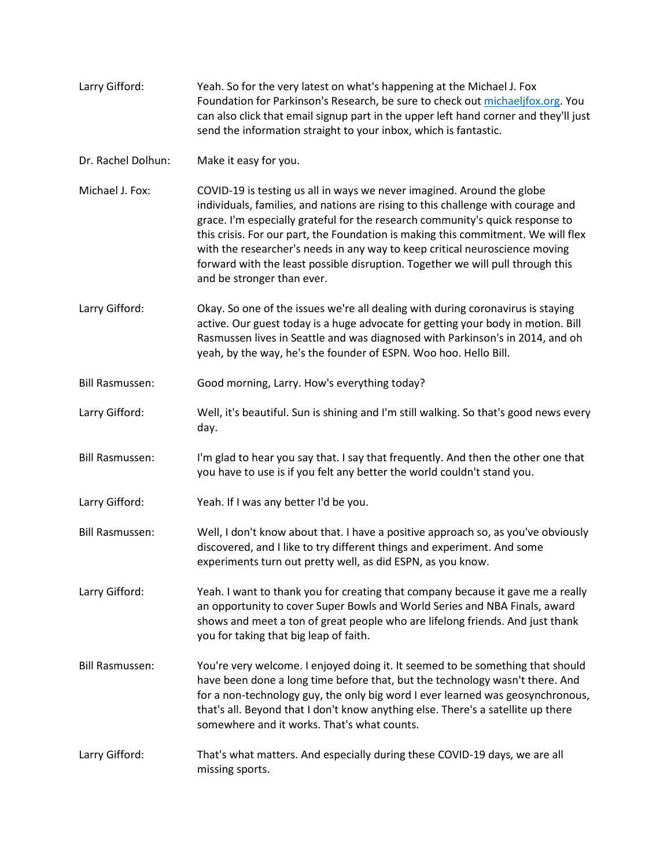| Larry Gifford:         | Yeah. So for the very latest on what's happening at the Michael J. Fox<br>Foundation for Parkinson's Research, be sure to check out michaeljfox.org. You<br>can also click that email signup part in the upper left hand corner and they'll just<br>send the information straight to your inbox, which is fantastic.                                                                                                                                                                                                            |
|------------------------|---------------------------------------------------------------------------------------------------------------------------------------------------------------------------------------------------------------------------------------------------------------------------------------------------------------------------------------------------------------------------------------------------------------------------------------------------------------------------------------------------------------------------------|
| Dr. Rachel Dolhun:     | Make it easy for you.                                                                                                                                                                                                                                                                                                                                                                                                                                                                                                           |
| Michael J. Fox:        | COVID-19 is testing us all in ways we never imagined. Around the globe<br>individuals, families, and nations are rising to this challenge with courage and<br>grace. I'm especially grateful for the research community's quick response to<br>this crisis. For our part, the Foundation is making this commitment. We will flex<br>with the researcher's needs in any way to keep critical neuroscience moving<br>forward with the least possible disruption. Together we will pull through this<br>and be stronger than ever. |
| Larry Gifford:         | Okay. So one of the issues we're all dealing with during coronavirus is staying<br>active. Our guest today is a huge advocate for getting your body in motion. Bill<br>Rasmussen lives in Seattle and was diagnosed with Parkinson's in 2014, and oh<br>yeah, by the way, he's the founder of ESPN. Woo hoo. Hello Bill.                                                                                                                                                                                                        |
| <b>Bill Rasmussen:</b> | Good morning, Larry. How's everything today?                                                                                                                                                                                                                                                                                                                                                                                                                                                                                    |
| Larry Gifford:         | Well, it's beautiful. Sun is shining and I'm still walking. So that's good news every<br>day.                                                                                                                                                                                                                                                                                                                                                                                                                                   |
| <b>Bill Rasmussen:</b> | I'm glad to hear you say that. I say that frequently. And then the other one that<br>you have to use is if you felt any better the world couldn't stand you.                                                                                                                                                                                                                                                                                                                                                                    |
| Larry Gifford:         | Yeah. If I was any better I'd be you.                                                                                                                                                                                                                                                                                                                                                                                                                                                                                           |
| <b>Bill Rasmussen:</b> | Well, I don't know about that. I have a positive approach so, as you've obviously<br>discovered, and I like to try different things and experiment. And some<br>experiments turn out pretty well, as did ESPN, as you know.                                                                                                                                                                                                                                                                                                     |
| Larry Gifford:         | Yeah. I want to thank you for creating that company because it gave me a really<br>an opportunity to cover Super Bowls and World Series and NBA Finals, award<br>shows and meet a ton of great people who are lifelong friends. And just thank<br>you for taking that big leap of faith.                                                                                                                                                                                                                                        |
| <b>Bill Rasmussen:</b> | You're very welcome. I enjoyed doing it. It seemed to be something that should<br>have been done a long time before that, but the technology wasn't there. And<br>for a non-technology guy, the only big word I ever learned was geosynchronous,<br>that's all. Beyond that I don't know anything else. There's a satellite up there<br>somewhere and it works. That's what counts.                                                                                                                                             |
| Larry Gifford:         | That's what matters. And especially during these COVID-19 days, we are all<br>missing sports.                                                                                                                                                                                                                                                                                                                                                                                                                                   |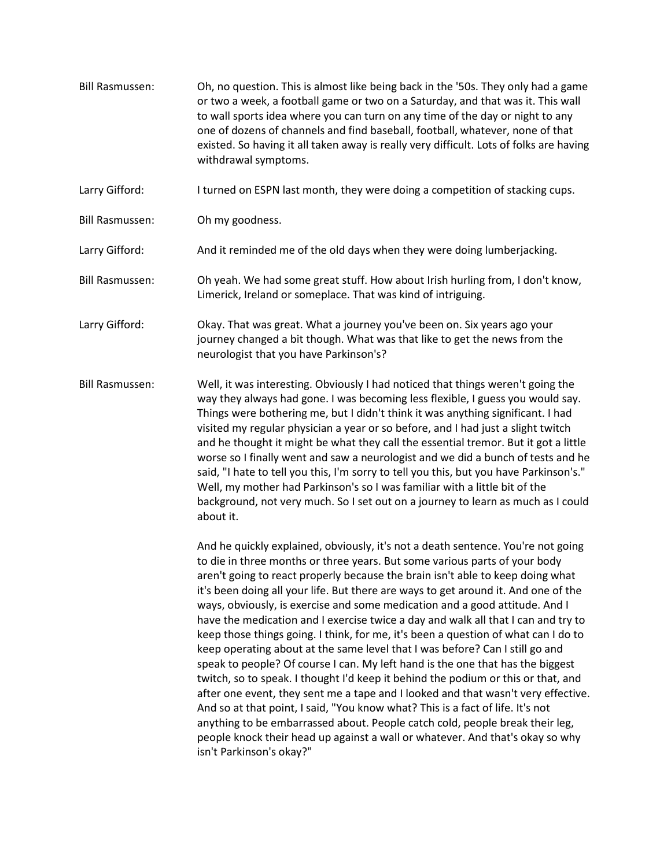- Bill Rasmussen: Oh, no question. This is almost like being back in the '50s. They only had a game or two a week, a football game or two on a Saturday, and that was it. This wall to wall sports idea where you can turn on any time of the day or night to any one of dozens of channels and find baseball, football, whatever, none of that existed. So having it all taken away is really very difficult. Lots of folks are having withdrawal symptoms.
- Larry Gifford: I turned on ESPN last month, they were doing a competition of stacking cups.
- Bill Rasmussen: Oh my goodness.
- Larry Gifford: And it reminded me of the old days when they were doing lumberjacking.
- Bill Rasmussen: Oh yeah. We had some great stuff. How about Irish hurling from, I don't know, Limerick, Ireland or someplace. That was kind of intriguing.
- Larry Gifford: Okay. That was great. What a journey you've been on. Six years ago your journey changed a bit though. What was that like to get the news from the neurologist that you have Parkinson's?
- Bill Rasmussen: Well, it was interesting. Obviously I had noticed that things weren't going the way they always had gone. I was becoming less flexible, I guess you would say. Things were bothering me, but I didn't think it was anything significant. I had visited my regular physician a year or so before, and I had just a slight twitch and he thought it might be what they call the essential tremor. But it got a little worse so I finally went and saw a neurologist and we did a bunch of tests and he said, "I hate to tell you this, I'm sorry to tell you this, but you have Parkinson's." Well, my mother had Parkinson's so I was familiar with a little bit of the background, not very much. So I set out on a journey to learn as much as I could about it.

And he quickly explained, obviously, it's not a death sentence. You're not going to die in three months or three years. But some various parts of your body aren't going to react properly because the brain isn't able to keep doing what it's been doing all your life. But there are ways to get around it. And one of the ways, obviously, is exercise and some medication and a good attitude. And I have the medication and I exercise twice a day and walk all that I can and try to keep those things going. I think, for me, it's been a question of what can I do to keep operating about at the same level that I was before? Can I still go and speak to people? Of course I can. My left hand is the one that has the biggest twitch, so to speak. I thought I'd keep it behind the podium or this or that, and after one event, they sent me a tape and I looked and that wasn't very effective. And so at that point, I said, "You know what? This is a fact of life. It's not anything to be embarrassed about. People catch cold, people break their leg, people knock their head up against a wall or whatever. And that's okay so why isn't Parkinson's okay?"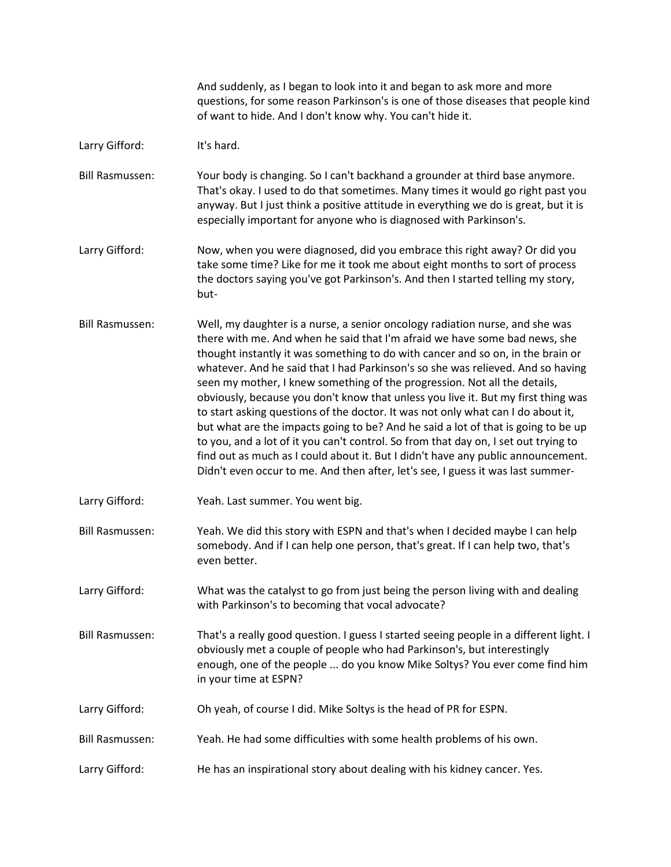And suddenly, as I began to look into it and began to ask more and more questions, for some reason Parkinson's is one of those diseases that people kind of want to hide. And I don't know why. You can't hide it.

Larry Gifford: It's hard.

Bill Rasmussen: Your body is changing. So I can't backhand a grounder at third base anymore. That's okay. I used to do that sometimes. Many times it would go right past you anyway. But I just think a positive attitude in everything we do is great, but it is especially important for anyone who is diagnosed with Parkinson's.

Larry Gifford: Now, when you were diagnosed, did you embrace this right away? Or did you take some time? Like for me it took me about eight months to sort of process the doctors saying you've got Parkinson's. And then I started telling my story, but-

- Bill Rasmussen: Well, my daughter is a nurse, a senior oncology radiation nurse, and she was there with me. And when he said that I'm afraid we have some bad news, she thought instantly it was something to do with cancer and so on, in the brain or whatever. And he said that I had Parkinson's so she was relieved. And so having seen my mother, I knew something of the progression. Not all the details, obviously, because you don't know that unless you live it. But my first thing was to start asking questions of the doctor. It was not only what can I do about it, but what are the impacts going to be? And he said a lot of that is going to be up to you, and a lot of it you can't control. So from that day on, I set out trying to find out as much as I could about it. But I didn't have any public announcement. Didn't even occur to me. And then after, let's see, I guess it was last summer-
- Larry Gifford: Yeah. Last summer. You went big.
- Bill Rasmussen: Yeah. We did this story with ESPN and that's when I decided maybe I can help somebody. And if I can help one person, that's great. If I can help two, that's even better.
- Larry Gifford: What was the catalyst to go from just being the person living with and dealing with Parkinson's to becoming that vocal advocate?

Bill Rasmussen: That's a really good question. I guess I started seeing people in a different light. I obviously met a couple of people who had Parkinson's, but interestingly enough, one of the people ... do you know Mike Soltys? You ever come find him in your time at ESPN?

- Larry Gifford: Oh yeah, of course I did. Mike Soltys is the head of PR for ESPN.
- Bill Rasmussen: Yeah. He had some difficulties with some health problems of his own.
- Larry Gifford: He has an inspirational story about dealing with his kidney cancer. Yes.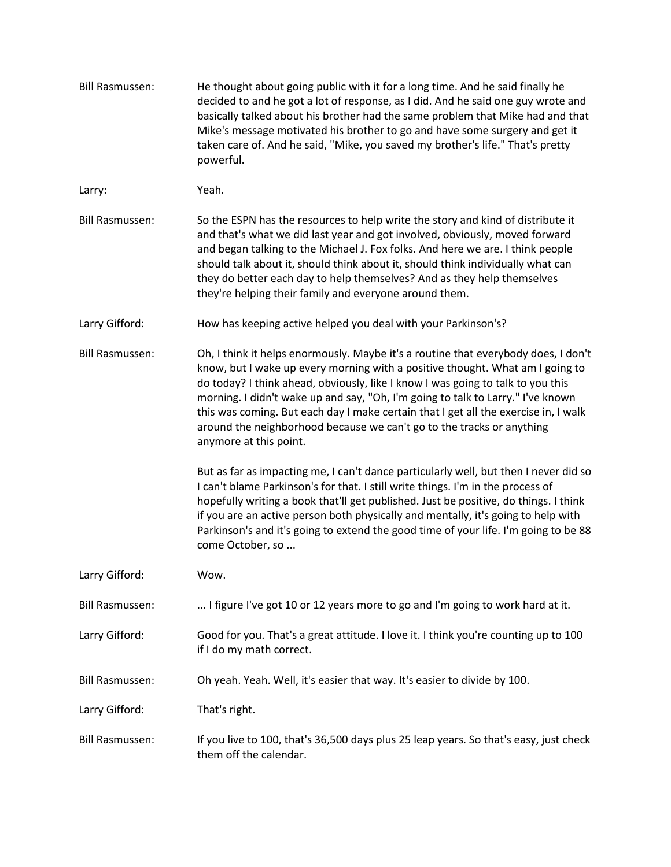| <b>Bill Rasmussen:</b> | He thought about going public with it for a long time. And he said finally he<br>decided to and he got a lot of response, as I did. And he said one guy wrote and<br>basically talked about his brother had the same problem that Mike had and that<br>Mike's message motivated his brother to go and have some surgery and get it<br>taken care of. And he said, "Mike, you saved my brother's life." That's pretty<br>powerful.                                                                                                                                                                                                                                                                                                                                                                                                                                                                                                                                                  |
|------------------------|------------------------------------------------------------------------------------------------------------------------------------------------------------------------------------------------------------------------------------------------------------------------------------------------------------------------------------------------------------------------------------------------------------------------------------------------------------------------------------------------------------------------------------------------------------------------------------------------------------------------------------------------------------------------------------------------------------------------------------------------------------------------------------------------------------------------------------------------------------------------------------------------------------------------------------------------------------------------------------|
| Larry:                 | Yeah.                                                                                                                                                                                                                                                                                                                                                                                                                                                                                                                                                                                                                                                                                                                                                                                                                                                                                                                                                                              |
| <b>Bill Rasmussen:</b> | So the ESPN has the resources to help write the story and kind of distribute it<br>and that's what we did last year and got involved, obviously, moved forward<br>and began talking to the Michael J. Fox folks. And here we are. I think people<br>should talk about it, should think about it, should think individually what can<br>they do better each day to help themselves? And as they help themselves<br>they're helping their family and everyone around them.                                                                                                                                                                                                                                                                                                                                                                                                                                                                                                           |
| Larry Gifford:         | How has keeping active helped you deal with your Parkinson's?                                                                                                                                                                                                                                                                                                                                                                                                                                                                                                                                                                                                                                                                                                                                                                                                                                                                                                                      |
| <b>Bill Rasmussen:</b> | Oh, I think it helps enormously. Maybe it's a routine that everybody does, I don't<br>know, but I wake up every morning with a positive thought. What am I going to<br>do today? I think ahead, obviously, like I know I was going to talk to you this<br>morning. I didn't wake up and say, "Oh, I'm going to talk to Larry." I've known<br>this was coming. But each day I make certain that I get all the exercise in, I walk<br>around the neighborhood because we can't go to the tracks or anything<br>anymore at this point.<br>But as far as impacting me, I can't dance particularly well, but then I never did so<br>I can't blame Parkinson's for that. I still write things. I'm in the process of<br>hopefully writing a book that'll get published. Just be positive, do things. I think<br>if you are an active person both physically and mentally, it's going to help with<br>Parkinson's and it's going to extend the good time of your life. I'm going to be 88 |
|                        | come October, so                                                                                                                                                                                                                                                                                                                                                                                                                                                                                                                                                                                                                                                                                                                                                                                                                                                                                                                                                                   |
| Larry Gifford:         | Wow.                                                                                                                                                                                                                                                                                                                                                                                                                                                                                                                                                                                                                                                                                                                                                                                                                                                                                                                                                                               |
| <b>Bill Rasmussen:</b> | I figure I've got 10 or 12 years more to go and I'm going to work hard at it.                                                                                                                                                                                                                                                                                                                                                                                                                                                                                                                                                                                                                                                                                                                                                                                                                                                                                                      |
| Larry Gifford:         | Good for you. That's a great attitude. I love it. I think you're counting up to 100<br>if I do my math correct.                                                                                                                                                                                                                                                                                                                                                                                                                                                                                                                                                                                                                                                                                                                                                                                                                                                                    |
| <b>Bill Rasmussen:</b> | Oh yeah. Yeah. Well, it's easier that way. It's easier to divide by 100.                                                                                                                                                                                                                                                                                                                                                                                                                                                                                                                                                                                                                                                                                                                                                                                                                                                                                                           |
| Larry Gifford:         | That's right.                                                                                                                                                                                                                                                                                                                                                                                                                                                                                                                                                                                                                                                                                                                                                                                                                                                                                                                                                                      |
| <b>Bill Rasmussen:</b> | If you live to 100, that's 36,500 days plus 25 leap years. So that's easy, just check<br>them off the calendar.                                                                                                                                                                                                                                                                                                                                                                                                                                                                                                                                                                                                                                                                                                                                                                                                                                                                    |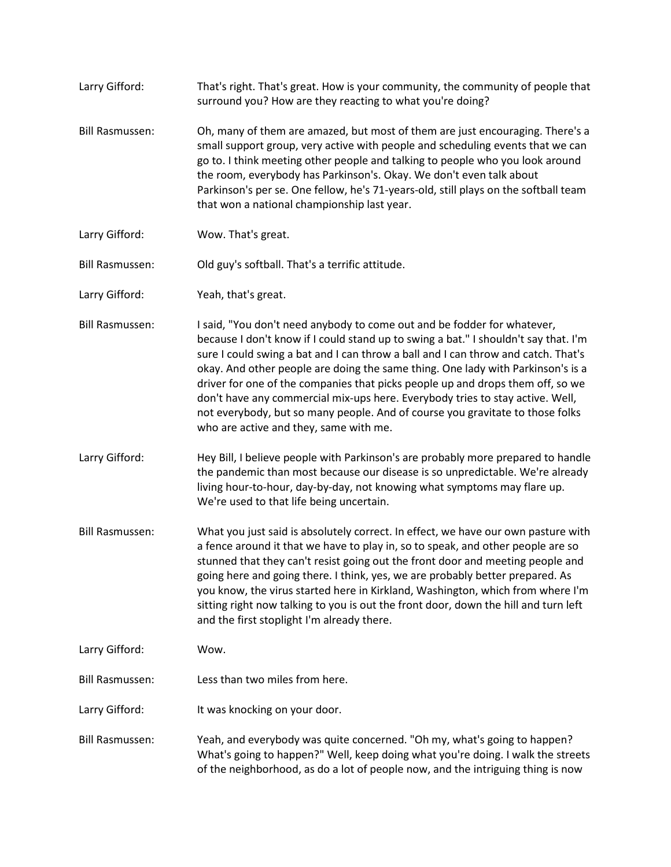Larry Gifford: That's right. That's great. How is your community, the community of people that surround you? How are they reacting to what you're doing? Bill Rasmussen: Oh, many of them are amazed, but most of them are just encouraging. There's a small support group, very active with people and scheduling events that we can go to. I think meeting other people and talking to people who you look around the room, everybody has Parkinson's. Okay. We don't even talk about Parkinson's per se. One fellow, he's 71-years-old, still plays on the softball team that won a national championship last year. Larry Gifford: Wow. That's great. Bill Rasmussen: Old guy's softball. That's a terrific attitude. Larry Gifford: Yeah, that's great. Bill Rasmussen: I said, "You don't need anybody to come out and be fodder for whatever, because I don't know if I could stand up to swing a bat." I shouldn't say that. I'm sure I could swing a bat and I can throw a ball and I can throw and catch. That's okay. And other people are doing the same thing. One lady with Parkinson's is a driver for one of the companies that picks people up and drops them off, so we don't have any commercial mix-ups here. Everybody tries to stay active. Well, not everybody, but so many people. And of course you gravitate to those folks who are active and they, same with me. Larry Gifford: Hey Bill, I believe people with Parkinson's are probably more prepared to handle the pandemic than most because our disease is so unpredictable. We're already living hour-to-hour, day-by-day, not knowing what symptoms may flare up. We're used to that life being uncertain. Bill Rasmussen: What you just said is absolutely correct. In effect, we have our own pasture with a fence around it that we have to play in, so to speak, and other people are so stunned that they can't resist going out the front door and meeting people and going here and going there. I think, yes, we are probably better prepared. As you know, the virus started here in Kirkland, Washington, which from where I'm sitting right now talking to you is out the front door, down the hill and turn left and the first stoplight I'm already there. Larry Gifford: Wow. Bill Rasmussen: Less than two miles from here. Larry Gifford: It was knocking on your door. Bill Rasmussen: Yeah, and everybody was quite concerned. "Oh my, what's going to happen? What's going to happen?" Well, keep doing what you're doing. I walk the streets of the neighborhood, as do a lot of people now, and the intriguing thing is now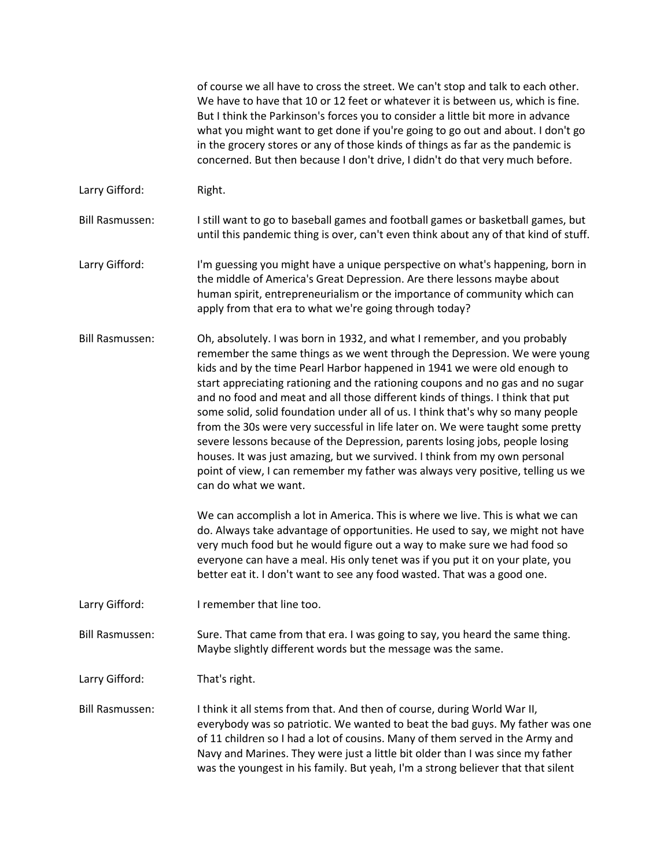of course we all have to cross the street. We can't stop and talk to each other. We have to have that 10 or 12 feet or whatever it is between us, which is fine. But I think the Parkinson's forces you to consider a little bit more in advance what you might want to get done if you're going to go out and about. I don't go in the grocery stores or any of those kinds of things as far as the pandemic is concerned. But then because I don't drive, I didn't do that very much before.

Larry Gifford: Right.

Bill Rasmussen: I still want to go to baseball games and football games or basketball games, but until this pandemic thing is over, can't even think about any of that kind of stuff.

Larry Gifford: I'm guessing you might have a unique perspective on what's happening, born in the middle of America's Great Depression. Are there lessons maybe about human spirit, entrepreneurialism or the importance of community which can apply from that era to what we're going through today?

Bill Rasmussen: Oh, absolutely. I was born in 1932, and what I remember, and you probably remember the same things as we went through the Depression. We were young kids and by the time Pearl Harbor happened in 1941 we were old enough to start appreciating rationing and the rationing coupons and no gas and no sugar and no food and meat and all those different kinds of things. I think that put some solid, solid foundation under all of us. I think that's why so many people from the 30s were very successful in life later on. We were taught some pretty severe lessons because of the Depression, parents losing jobs, people losing houses. It was just amazing, but we survived. I think from my own personal point of view, I can remember my father was always very positive, telling us we can do what we want.

> We can accomplish a lot in America. This is where we live. This is what we can do. Always take advantage of opportunities. He used to say, we might not have very much food but he would figure out a way to make sure we had food so everyone can have a meal. His only tenet was if you put it on your plate, you better eat it. I don't want to see any food wasted. That was a good one.

Larry Gifford: I remember that line too.

Bill Rasmussen: Sure. That came from that era. I was going to say, you heard the same thing. Maybe slightly different words but the message was the same.

Larry Gifford: That's right.

Bill Rasmussen: I think it all stems from that. And then of course, during World War II, everybody was so patriotic. We wanted to beat the bad guys. My father was one of 11 children so I had a lot of cousins. Many of them served in the Army and Navy and Marines. They were just a little bit older than I was since my father was the youngest in his family. But yeah, I'm a strong believer that that silent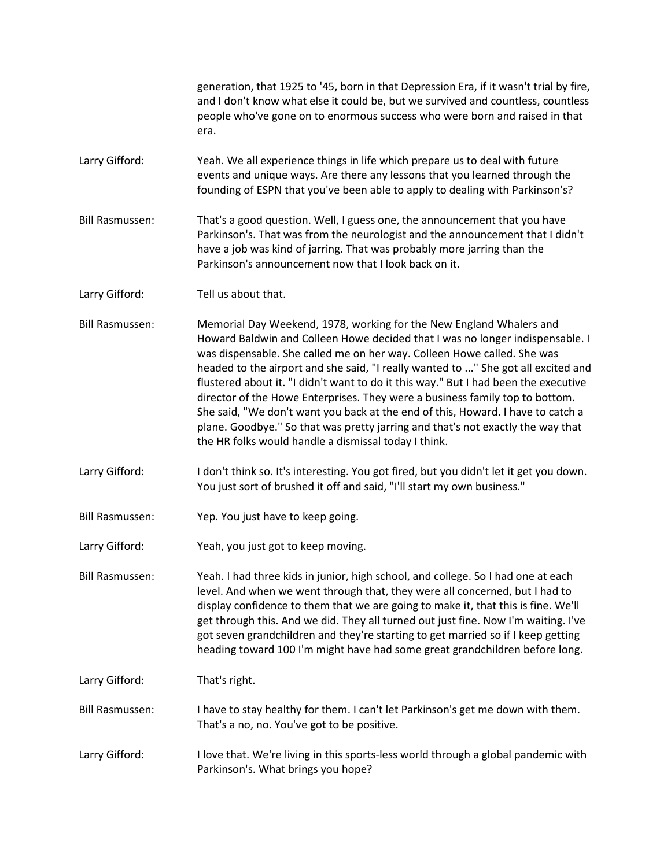generation, that 1925 to '45, born in that Depression Era, if it wasn't trial by fire, and I don't know what else it could be, but we survived and countless, countless people who've gone on to enormous success who were born and raised in that era.

Larry Gifford: Yeah. We all experience things in life which prepare us to deal with future events and unique ways. Are there any lessons that you learned through the founding of ESPN that you've been able to apply to dealing with Parkinson's?

Bill Rasmussen: That's a good question. Well, I guess one, the announcement that you have Parkinson's. That was from the neurologist and the announcement that I didn't have a job was kind of jarring. That was probably more jarring than the Parkinson's announcement now that I look back on it.

Larry Gifford: Tell us about that.

Bill Rasmussen: Memorial Day Weekend, 1978, working for the New England Whalers and Howard Baldwin and Colleen Howe decided that I was no longer indispensable. I was dispensable. She called me on her way. Colleen Howe called. She was headed to the airport and she said, "I really wanted to ..." She got all excited and flustered about it. "I didn't want to do it this way." But I had been the executive director of the Howe Enterprises. They were a business family top to bottom. She said, "We don't want you back at the end of this, Howard. I have to catch a plane. Goodbye." So that was pretty jarring and that's not exactly the way that the HR folks would handle a dismissal today I think.

Larry Gifford: I don't think so. It's interesting. You got fired, but you didn't let it get you down. You just sort of brushed it off and said, "I'll start my own business."

Bill Rasmussen: Yep. You just have to keep going.

Larry Gifford: Yeah, you just got to keep moving.

Bill Rasmussen: Yeah. I had three kids in junior, high school, and college. So I had one at each level. And when we went through that, they were all concerned, but I had to display confidence to them that we are going to make it, that this is fine. We'll get through this. And we did. They all turned out just fine. Now I'm waiting. I've got seven grandchildren and they're starting to get married so if I keep getting heading toward 100 I'm might have had some great grandchildren before long.

Larry Gifford: That's right.

Bill Rasmussen: I have to stay healthy for them. I can't let Parkinson's get me down with them. That's a no, no. You've got to be positive.

Larry Gifford: I love that. We're living in this sports-less world through a global pandemic with Parkinson's. What brings you hope?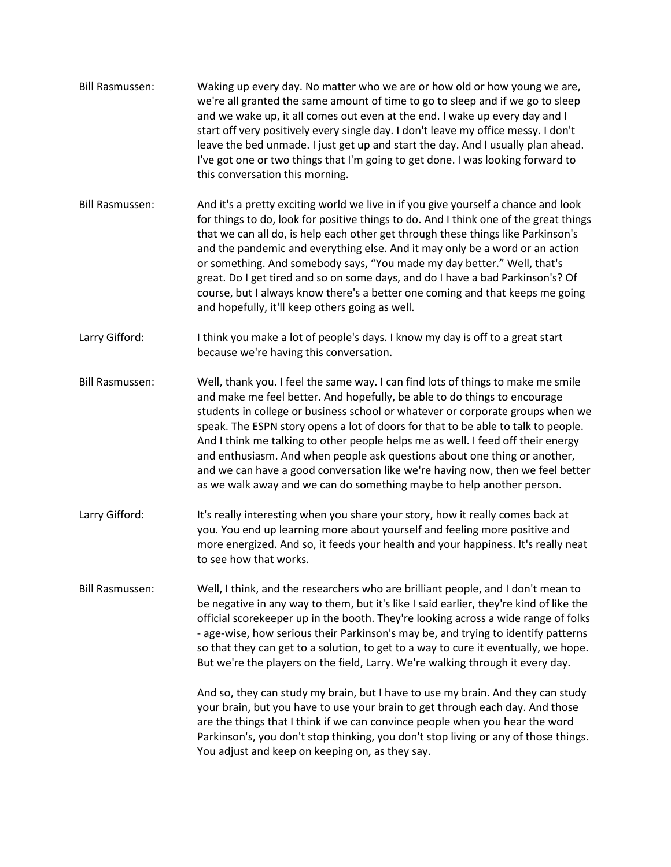- Bill Rasmussen: Waking up every day. No matter who we are or how old or how young we are, we're all granted the same amount of time to go to sleep and if we go to sleep and we wake up, it all comes out even at the end. I wake up every day and I start off very positively every single day. I don't leave my office messy. I don't leave the bed unmade. I just get up and start the day. And I usually plan ahead. I've got one or two things that I'm going to get done. I was looking forward to this conversation this morning.
- Bill Rasmussen: And it's a pretty exciting world we live in if you give yourself a chance and look for things to do, look for positive things to do. And I think one of the great things that we can all do, is help each other get through these things like Parkinson's and the pandemic and everything else. And it may only be a word or an action or something. And somebody says, "You made my day better." Well, that's great. Do I get tired and so on some days, and do I have a bad Parkinson's? Of course, but I always know there's a better one coming and that keeps me going and hopefully, it'll keep others going as well.
- Larry Gifford: I think you make a lot of people's days. I know my day is off to a great start because we're having this conversation.
- Bill Rasmussen: Well, thank you. I feel the same way. I can find lots of things to make me smile and make me feel better. And hopefully, be able to do things to encourage students in college or business school or whatever or corporate groups when we speak. The ESPN story opens a lot of doors for that to be able to talk to people. And I think me talking to other people helps me as well. I feed off their energy and enthusiasm. And when people ask questions about one thing or another, and we can have a good conversation like we're having now, then we feel better as we walk away and we can do something maybe to help another person.
- Larry Gifford: It's really interesting when you share your story, how it really comes back at you. You end up learning more about yourself and feeling more positive and more energized. And so, it feeds your health and your happiness. It's really neat to see how that works.
- Bill Rasmussen: Well, I think, and the researchers who are brilliant people, and I don't mean to be negative in any way to them, but it's like I said earlier, they're kind of like the official scorekeeper up in the booth. They're looking across a wide range of folks - age-wise, how serious their Parkinson's may be, and trying to identify patterns so that they can get to a solution, to get to a way to cure it eventually, we hope. But we're the players on the field, Larry. We're walking through it every day.

And so, they can study my brain, but I have to use my brain. And they can study your brain, but you have to use your brain to get through each day. And those are the things that I think if we can convince people when you hear the word Parkinson's, you don't stop thinking, you don't stop living or any of those things. You adjust and keep on keeping on, as they say.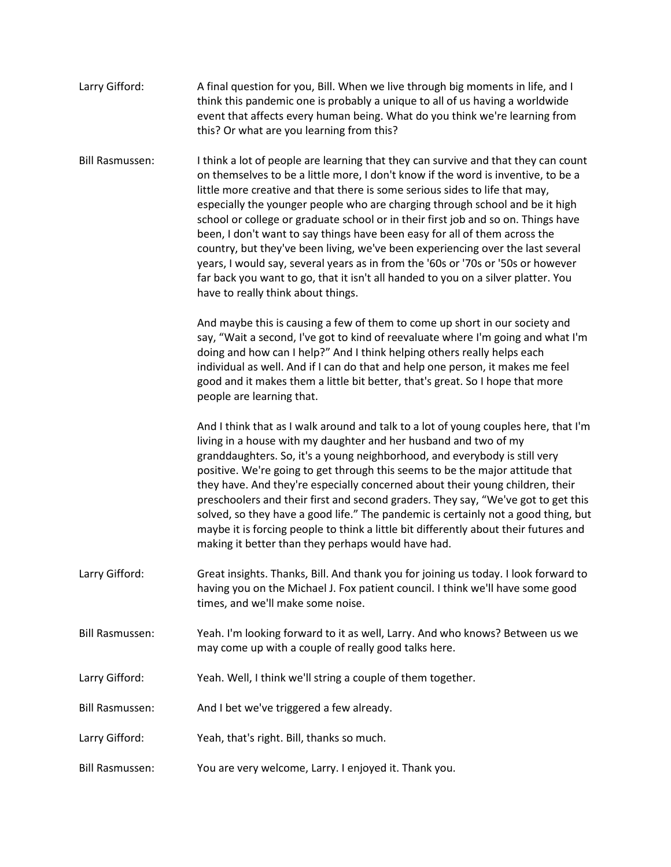| Larry Gifford: | A final question for you, Bill. When we live through big moments in life, and I |
|----------------|---------------------------------------------------------------------------------|
|                | think this pandemic one is probably a unique to all of us having a worldwide    |
|                | event that affects every human being. What do you think we're learning from     |
|                | this? Or what are you learning from this?                                       |

Bill Rasmussen: I think a lot of people are learning that they can survive and that they can count on themselves to be a little more, I don't know if the word is inventive, to be a little more creative and that there is some serious sides to life that may, especially the younger people who are charging through school and be it high school or college or graduate school or in their first job and so on. Things have been, I don't want to say things have been easy for all of them across the country, but they've been living, we've been experiencing over the last several years, I would say, several years as in from the '60s or '70s or '50s or however far back you want to go, that it isn't all handed to you on a silver platter. You have to really think about things.

> And maybe this is causing a few of them to come up short in our society and say, "Wait a second, I've got to kind of reevaluate where I'm going and what I'm doing and how can I help?" And I think helping others really helps each individual as well. And if I can do that and help one person, it makes me feel good and it makes them a little bit better, that's great. So I hope that more people are learning that.

And I think that as I walk around and talk to a lot of young couples here, that I'm living in a house with my daughter and her husband and two of my granddaughters. So, it's a young neighborhood, and everybody is still very positive. We're going to get through this seems to be the major attitude that they have. And they're especially concerned about their young children, their preschoolers and their first and second graders. They say, "We've got to get this solved, so they have a good life." The pandemic is certainly not a good thing, but maybe it is forcing people to think a little bit differently about their futures and making it better than they perhaps would have had.

- Larry Gifford: Great insights. Thanks, Bill. And thank you for joining us today. I look forward to having you on the Michael J. Fox patient council. I think we'll have some good times, and we'll make some noise.
- Bill Rasmussen: Yeah. I'm looking forward to it as well, Larry. And who knows? Between us we may come up with a couple of really good talks here.
- Larry Gifford: Yeah. Well, I think we'll string a couple of them together.
- Bill Rasmussen: And I bet we've triggered a few already.
- Larry Gifford: Yeah, that's right. Bill, thanks so much.
- Bill Rasmussen: You are very welcome, Larry. I enjoyed it. Thank you.